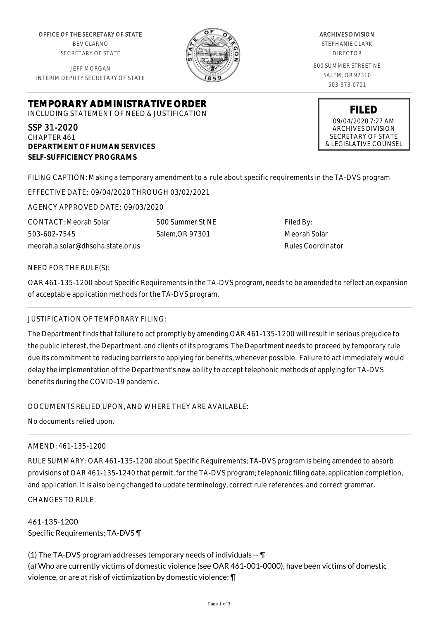OFFICE OF THE SECRETARY OF STATE BEV CLARNO SECRETARY OF STATE

JEFF MORGAN INTERIM DEPUTY SECRETARY OF STATE

**DEPARTMENT OF HUMAN SERVICES**



ARCHIVES DIVISION STEPHANIE CLARK DIRECTOR 800 SUMMER STREET NE SALEM, OR 97310 503-373-0701

> **FILED** 09/04/2020 7:27 AM ARCHIVES DIVISION SECRETARY OF STATE & LEGISLATIVE COUNSEL

**SELF-SUFFICIENCY PROGRAMS**

FILING CAPTION: Making a temporary amendment to a rule about specific requirements in the TA-DVS program

EFFECTIVE DATE: 09/04/2020 THROUGH 03/02/2021

**TEMPORARY ADMINISTRATIVE ORDER** INCLUDING STATEMENT OF NEED & JUSTIFICATION

AGENCY APPROVED DATE: 09/03/2020

meorah.a.solar@dhsoha.state.or.us 500 Summer St NE Salem,OR 97301

Filed By: Meorah Solar Rules Coordinator

## NEED FOR THE RULE(S):

CONTACT: Meorah Solar

503-602-7545

SSP 31-2020 CHAPTER 461

OAR 461-135-1200 about Specific Requirements in the TA-DVS program, needs to be amended to reflect an expansion of acceptable application methods for the TA-DVS program.

## JUSTIFICATION OF TEMPORARY FILING:

The Department finds that failure to act promptly by amending OAR 461-135-1200 will result in serious prejudice to the public interest, the Department, and clients of its programs. The Department needs to proceed by temporary rule due its commitment to reducing barriers to applying for benefits, whenever possible. Failure to act immediately would delay the implementation of the Department's new ability to accept telephonic methods of applying for TA-DVS benefits during the COVID-19 pandemic.

## DOCUMENTS RELIED UPON, AND WHERE THEY ARE AVAILABLE:

No documents relied upon.

## AMEND: 461-135-1200

RULE SUMMARY: OAR 461-135-1200 about Specific Requirements; TA-DVS program is being amended to absorb provisions of OAR 461-135-1240 that permit, for the TA-DVS program; telephonic filing date, application completion, and application. It is also being changed to update terminology, correct rule references, and correct grammar. CHANGES TO RULE:

461-135-1200 Specific Requirements; TA-DVS ¶

(1) The TA-DVS program addresses temporary needs of individuals -- ¶ (a) Who are currently victims of domestic violence (see OAR 461-001-0000), have been victims of domestic violence, or are at risk of victimization by domestic violence; ¶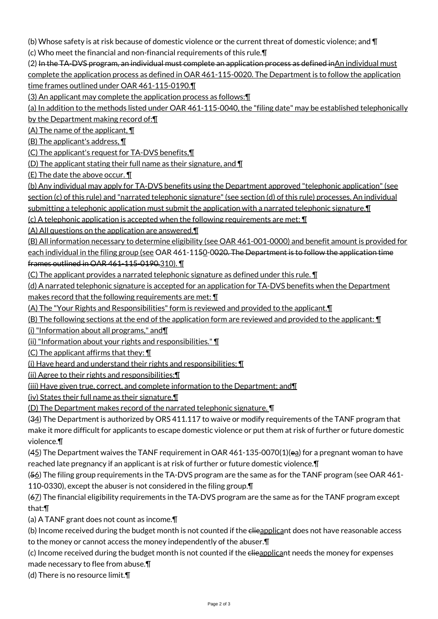(b) Whose safety is at risk because of domestic violence or the current threat of domestic violence; and ¶

(c) Who meet the financial and non-financial requirements of this rule.¶

(2) In the TA-DVS program, an individual must complete an application process as defined inAn individual must complete the application process as defined in OAR 461-115-0020. The Department is to follow the application time frames outlined under OAR 461-115-0190.¶

(3) An applicant may complete the application process as follows:¶

(a) In addition to the methods listed under OAR 461-115-0040, the "filing date" may be established telephonically by the Department making record of:¶

 $(A)$  The name of the applicant,  $\P$ 

(B) The applicant's address, ¶

(C) The applicant's request for TA-DVS benefits,¶

(D) The applicant stating their full name as their signature, and  $\P$ 

(E) The date the above occur. ¶

(b) Any individual may apply for TA-DVS benefits using the Department approved "telephonic application" (see section (c) of this rule) and "narrated telephonic signature" (see section (d) of this rule) processes. An individual submitting a telephonic application must submit the application with a narrated telephonic signature.¶

(c) A telephonic application is accepted when the following requirements are met: ¶

(A) All questions on the application are answered.¶

(B) All information necessary to determine eligibility (see OAR 461-001-0000) and benefit amount is provided for each individual in the filing group (see OAR 461-1150-0020. The Department is to follow the application time frames outlined in OAR 461-115-0190.310). ¶

(C) The applicant provides a narrated telephonic signature as defined under this rule. ¶

(d) A narrated telephonic signature is accepted for an application for TA-DVS benefits when the Department

makes record that the following requirements are met: ¶

(A) The "Your Rights and Responsibilities" form is reviewed and provided to the applicant.¶

(B) The following sections at the end of the application form are reviewed and provided to the applicant: ¶

(i) "Information about all programs," and¶

(ii) "Information about your rights and responsibilities." ¶

(C) The applicant affirms that they: ¶

(i) Have heard and understand their rights and responsibilities; ¶

(ii) Agree to their rights and responsibilities;¶

(iii) Have given true, correct, and complete information to the Department; and¶

(iv) States their full name as their signature.¶

(D) The Department makes record of the narrated telephonic signature. ¶

(34) The Department is authorized by ORS 411.117 to waive or modify requirements of the TANF program that make it more difficult for applicants to escape domestic violence or put them at risk of further or future domestic violence.¶

(45) The Department waives the TANF requirement in OAR 461-135-0070(1)(ea) for a pregnant woman to have reached late pregnancy if an applicant is at risk of further or future domestic violence.¶

(56) The filing group requirements in the TA-DVS program are the same as for the TANF program (see OAR 461- 110-0330), except the abuser is not considered in the filing group.¶

(67) The financial eligibility requirements in the TA-DVS program are the same as for the TANF program except that:¶

(a) A TANF grant does not count as income.¶

(b) Income received during the budget month is not counted if the elieapplicant does not have reasonable access to the money or cannot access the money independently of the abuser.¶

(c) Income received during the budget month is not counted if the elieapplicant needs the money for expenses made necessary to flee from abuse.¶

(d) There is no resource limit.¶